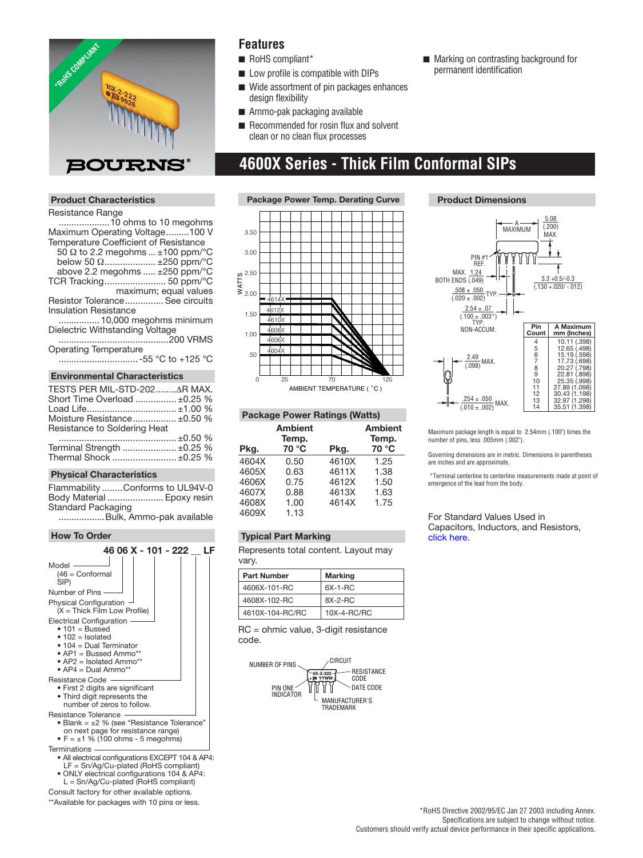

## **Product Characteristics**

#### Resistance Range

 ....................10 ohms to 10 megohms Maximum Operating Voltage .........100 V Temperature Coefficient of Resistance

- 50 Ω to 2.2 megohms ... ±100 ppm/°C
- below 50 Ω..................... ±250 ppm/ $°C$ above 2.2 megohms ..... ±250 ppm/°C
- TCR Tracking ........................ 50 ppm/°C

maximum; equal values

Resistor Tolerance ............... See circuits

Insulation Resistance

 ................ 10,000 megohms minimum Dielectric Withstanding Voltage

 ...........................................200 VRMS Operating Temperature

............................... -55 °C to +125 °C

#### **Environmental Characteristics**

| TESTS PER MIL-STD-202 AR MAX. |  |  |
|-------------------------------|--|--|
| Short Time Overload  ±0.25 %  |  |  |
|                               |  |  |
| Moisture Resistance ±0.50 %   |  |  |
| Resistance to Soldering Heat  |  |  |
|                               |  |  |
| Terminal Strength  ±0.25 %    |  |  |
| Thermal Shock  ±0.25 %        |  |  |

#### **Physical Characteristics**

Flammability ........Conforms to UL94V-0 Body Material ...................... Epoxy resin Standard Packaging

..................Bulk, Ammo-pak available

#### **How To Order**



\*\*Available for packages with 10 pins or less.

# **Features**

- RoHS compliant\*
- Low profile is compatible with DIPs
- Wide assortment of pin packages enhances design flexibility
- Ammo-pak packaging available
- Recommended for rosin flux and solvent clean or no clean flux processes

# **4600X Series - Thick Film Conformal SIPs**



#### **Package Power Ratings (Watts)**

| Pkg.  | Ambient<br>Temp.<br>70 °C | Pkg.  | <b>Ambient</b><br>Temp.<br>70 °C |
|-------|---------------------------|-------|----------------------------------|
|       |                           |       |                                  |
| 4604X | 0.50                      | 4610X | 1.25                             |
| 4605X | 0.63                      | 4611X | 1.38                             |
| 4606X | 0.75                      | 4612X | 1.50                             |
| 4607X | 0.88                      | 4613X | 1.63                             |
| 4608X | 1.00                      | 4614X | 1.75                             |
| 4609X | 1.13                      |       |                                  |

# **Typical Part Marking**

Represents total content. Layout may vary.

| <b>Part Number</b> | <b>Marking</b> |
|--------------------|----------------|
| 4606X-101-RC       | $6X-1-RC$      |
| 4608X-102-RC       | $AX-2-RC$      |
| 4610X-104-RC/RC    | 10X-4-RC/RC    |

RC = ohmic value, 3-digit resistance code.



# ■ Marking on contrasting background for permanent identification

## **Product Dimensions**



Maximum package length is equal to 2.54mm (.100") times the number of pins, less .005mm (.002").

Governing dimensions are in metric. Dimensions in parentheses are inches and are approximate.

 \*Terminal centerline to centerline measurements made at point of emergence of the lead from the body.

For Standard Values Used in Capacitors, Inductors, and Resistors, [click here.](http://www.bourns.com/Support.aspx?name=TechnicalLibraryStndrdValues)